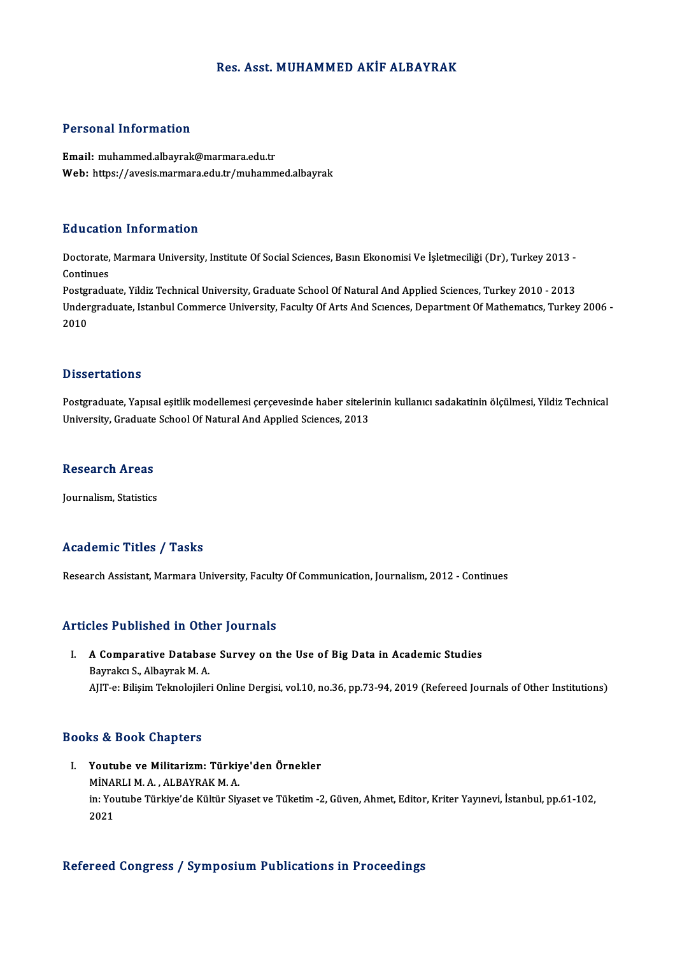## Res. Asst.MUHAMMED AKİF ALBAYRAK

## Personal Information

Email: muhammed.albayrak@marmara.edu.tr Web: https://avesis.marmara.edu.tr/muhammed.albayrak

## Education Information

**Education Information**<br>Doctorate, Marmara University, Institute Of Social Sciences, Basın Ekonomisi Ve İşletmeciliği (Dr), Turkey 2013 -<br>Continues Doctorate,<br>Continues<br>Postaredus Doctorate, Marmara University, Institute Of Social Sciences, Basın Ekonomisi Ve İşletmeciliği (Dr), Turkey 2013<br>Continues<br>Postgraduate, Yildiz Technical University, Graduate School Of Natural And Applied Sciences, Turkey 2

Continues<br>Postgraduate, Yildiz Technical University, Graduate School Of Natural And Applied Sciences, Turkey 2010 - 2013<br>Undergraduate, Istanbul Commerce University, Faculty Of Arts And Sciences, Department Of Mathematics, Postgi<br>Under<br>2010

### **Dissertations**

Postgraduate, Yapısal eşitlik modellemesi çerçevesinde haber sitelerinin kullanıcı sadakatinin ölçülmesi, Yildiz Technical University, Graduate School Of Natural And Applied Sciences, 2013

### Research Areas

**Journalism, Statistics** 

## Academic Titles / Tasks

Research Assistant, Marmara University, Faculty Of Communication, Journalism, 2012 - Continues

## Articles Published in Other Journals

## rticles Published in Other Journals<br>I. A Comparative Database Survey on the Use of Big Data in Academic Studies A Comparative Databas<br>Bayrakcı S., Albayrak M. A.<br>AIIT e. Bilisim Telmoloiiler Bayrakcı S., Albayrak M. A.<br>AJIT-e: Bilişim Teknolojileri Online Dergisi, vol.10, no.36, pp.73-94, 2019 (Refereed Journals of Other Institutions)

## Books&Book Chapters

OOks & Book Chapters<br>I. Youtube ve Militarizm: Türkiye'den Örnekler<br>Minapli M.A. Albaypak M.A. m a book anapeers<br>Youtube ve Militarizm: Türkiy<br>MİNARLI M. A. , ALBAYRAK M. A.<br>in: Youtube Türkiye'de Kültür Su Youtube ve Militarizm: Türkiye'den Örnekler<br>MİNARLI M. A. , ALBAYRAK M. A.<br>in: Youtube Türkiye'de Kültür Siyaset ve Tüketim -2, Güven, Ahmet, Editor, Kriter Yayınevi, İstanbul, pp.61-102, MİNA)<br>in: Yoı<br>2021 2021<br>Refereed Congress / Symposium Publications in Proceedings